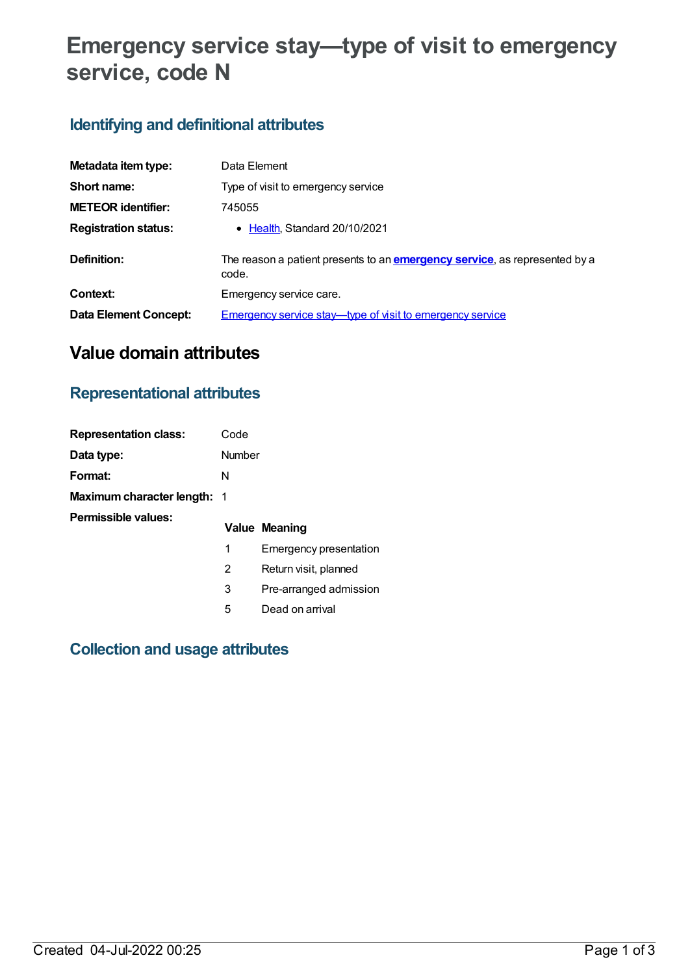# **Emergency service stay—type of visit to emergency service, code N**

# **Identifying and definitional attributes**

| Metadata item type:         | Data Element                                                                                |
|-----------------------------|---------------------------------------------------------------------------------------------|
| Short name:                 | Type of visit to emergency service                                                          |
| <b>METEOR identifier:</b>   | 745055                                                                                      |
| <b>Registration status:</b> | • Health, Standard 20/10/2021                                                               |
| Definition:                 | The reason a patient presents to an <b>emergency service</b> , as represented by a<br>code. |
| Context:                    | Emergency service care.                                                                     |
| Data Element Concept:       | <b>Emergency service stay—type of visit to emergency service</b>                            |

# **Value domain attributes**

# **Representational attributes**

| <b>Representation class:</b>       | Code   |                        |
|------------------------------------|--------|------------------------|
| Data type:                         | Number |                        |
| Format:                            | N      |                        |
| <b>Maximum character length: 1</b> |        |                        |
| Permissible values:                |        | <b>Value Meaning</b>   |
|                                    | 1      | Emergency presentation |
|                                    | 2      | Return visit, planned  |
|                                    | 3      | Pre-arranged admission |
|                                    | 5      | Dead on arrival        |

# **Collection and usage attributes**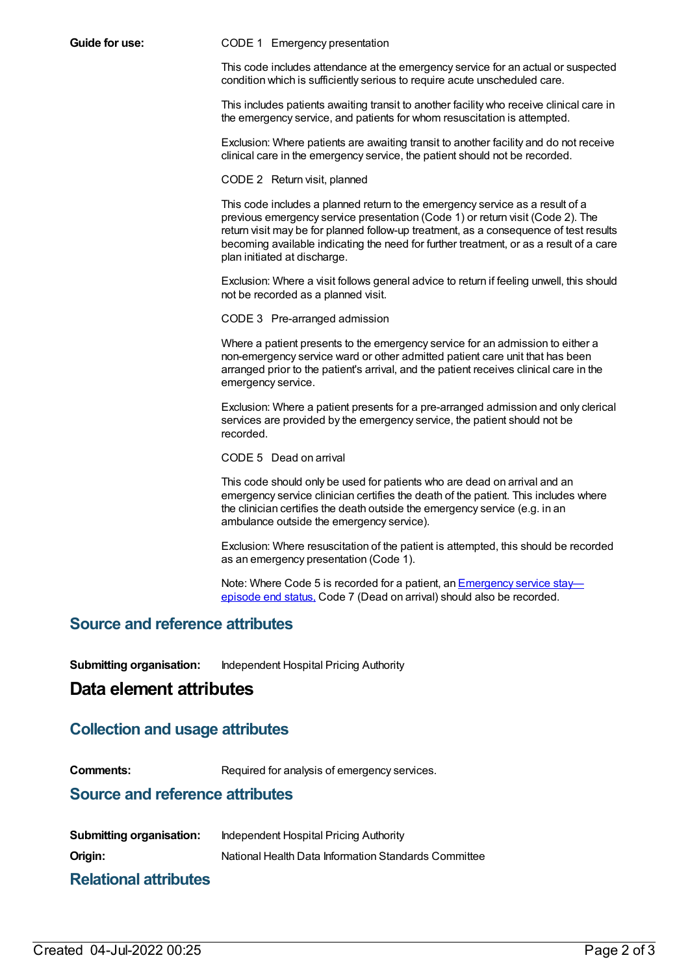**Guide for use:** CODE 1 Emergency presentation

This code includes attendance at the emergency service for an actual or suspected condition which is sufficiently serious to require acute unscheduled care.

This includes patients awaiting transit to another facility who receive clinical care in the emergency service, and patients for whom resuscitation is attempted.

Exclusion: Where patients are awaiting transit to another facility and do not receive clinical care in the emergency service, the patient should not be recorded.

CODE 2 Return visit, planned

This code includes a planned return to the emergency service as a result of a previous emergency service presentation (Code 1) or return visit (Code 2). The return visit may be for planned follow-up treatment, as a consequence of test results becoming available indicating the need for further treatment, or as a result of a care plan initiated at discharge.

Exclusion: Where a visit follows general advice to return if feeling unwell, this should not be recorded as a planned visit.

CODE 3 Pre-arranged admission

Where a patient presents to the emergency service for an admission to either a non-emergency service ward or other admitted patient care unit that has been arranged prior to the patient's arrival, and the patient receives clinical care in the emergency service.

Exclusion: Where a patient presents for a pre-arranged admission and only clerical services are provided by the emergency service, the patient should not be recorded.

CODE 5 Dead on arrival

This code should only be used for patients who are dead on arrival and an emergency service clinician certifies the death of the patient. This includes where the clinician certifies the death outside the emergency service (e.g. in an ambulance outside the emergency service).

Exclusion: Where resuscitation of the patient is attempted, this should be recorded as an emergency presentation (Code 1).

Note: Where Code 5 is recorded for a patient, an **[Emergency](file:///content/745050) service stay** episode end status, Code 7 (Dead on arrival) should also be recorded.

## **Source and reference attributes**

**Submitting organisation:** Independent Hospital Pricing Authority

## **Data element attributes**

## **Collection and usage attributes**

**Comments:** Required for analysis of emergency services.

### **Source and reference attributes**

| <b>Submitting organisation:</b> | Independent Hospital Pricing Authority               |
|---------------------------------|------------------------------------------------------|
| Origin:                         | National Health Data Information Standards Committee |
| .<br>.                          |                                                      |

### **Relational attributes**